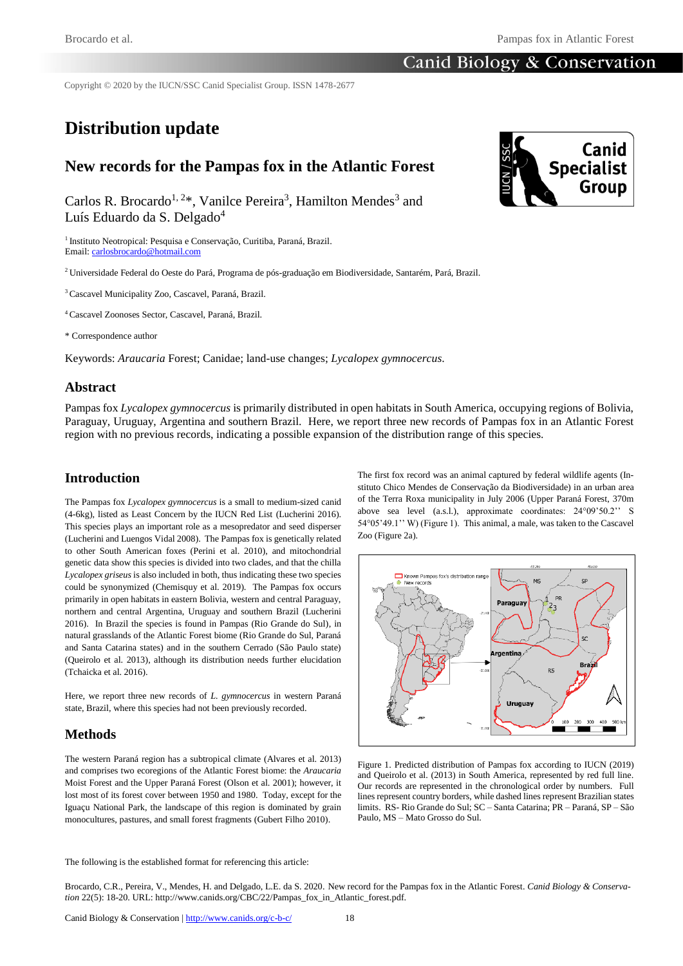## **Canid Biology & Conservation**

Copyright © 2020 by the IUCN/SSC Canid Specialist Group. ISSN 1478-2677

# **Distribution update**

## **New records for the Pampas fox in the Atlantic Forest**

Carlos R. Brocardo<sup>1, 2\*</sup>, Vanilce Pereira<sup>3</sup>, Hamilton Mendes<sup>3</sup> and Luís Eduardo da S. Delgado<sup>4</sup>

<sup>1</sup> Instituto Neotropical: Pesquisa e Conservação, Curitiba, Paraná, Brazil. Email[: carlosbrocardo@hotmail.com](mailto:carlosbrocardo@hotmail.com)

<sup>2</sup>Universidade Federal do Oeste do Pará, Programa de pós-graduação em Biodiversidade, Santarém, Pará, Brazil.

<sup>3</sup>Cascavel Municipality Zoo, Cascavel, Paraná, Brazil.

<sup>4</sup>Cascavel Zoonoses Sector, Cascavel, Paraná, Brazil.

\* Correspondence author

Keywords: *Araucaria* Forest; Canidae; land-use changes; *Lycalopex gymnocercus*.

#### **Abstract**

Pampas fox *Lycalopex gymnocercus* is primarily distributed in open habitats in South America, occupying regions of Bolivia, Paraguay, Uruguay, Argentina and southern Brazil. Here, we report three new records of Pampas fox in an Atlantic Forest region with no previous records, indicating a possible expansion of the distribution range of this species.

#### **Introduction**

The Pampas fox *Lycalopex gymnocercus* is a small to medium-sized canid (4-6kg), listed as Least Concern by the IUCN Red List (Lucherini 2016). This species plays an important role as a mesopredator and seed disperser (Lucherini and Luengos Vidal 2008). The Pampas fox is genetically related to other South American foxes (Perini et al. 2010), and mitochondrial genetic data show this species is divided into two clades, and that the chilla *Lycalopex griseus* is also included in both, thus indicating these two species could be synonymized (Chemisquy et al. 2019). The Pampas fox occurs primarily in open habitats in eastern Bolivia, western and central Paraguay, northern and central Argentina, Uruguay and southern Brazil (Lucherini 2016). In Brazil the species is found in Pampas (Rio Grande do Sul), in natural grasslands of the Atlantic Forest biome (Rio Grande do Sul, Paraná and Santa Catarina states) and in the southern Cerrado (São Paulo state) (Queirolo et al. 2013), although its distribution needs further elucidation (Tchaicka et al. 2016).

Here, we report three new records of *L. gymnocercus* in western Paraná state, Brazil, where this species had not been previously recorded.

#### **Methods**

The western Paraná region has a subtropical climate (Alvares et al. 2013) and comprises two ecoregions of the Atlantic Forest biome: the *Araucaria* Moist Forest and the Upper Paraná Forest (Olson et al. 2001); however, it lost most of its forest cover between 1950 and 1980. Today, except for the Iguaçu National Park, the landscape of this region is dominated by grain monocultures, pastures, and small forest fragments (Gubert Filho 2010).

The first fox record was an animal captured by federal wildlife agents (Instituto Chico Mendes de Conservação da Biodiversidade) in an urban area of the Terra Roxa municipality in July 2006 (Upper Paraná Forest, 370m above sea level (a.s.l.), approximate coordinates: 24°09'50.2'' S 54°05'49.1'' W) (Figure 1). This animal, a male, was taken to the Cascavel Zoo (Figure 2a).

Paragua

gentin

Uruguay

 $MS$ 

 $^{2}3$ 

 $\overline{\phantom{a}}$ 

**SP** 

۹C

Rra

ш. т

hown Pampas fox's distribution rang



The following is the established format for referencing this article:

Brocardo, C.R., Pereira, V., Mendes, H. and Delgado, L.E. da S. 2020. New record for the Pampas fox in the Atlantic Forest. *Canid Biology & Conservation* 22(5): 18-20. URL: http://www.canids.org/CBC/22/Pampas\_fox\_in\_Atlantic\_forest.pdf.

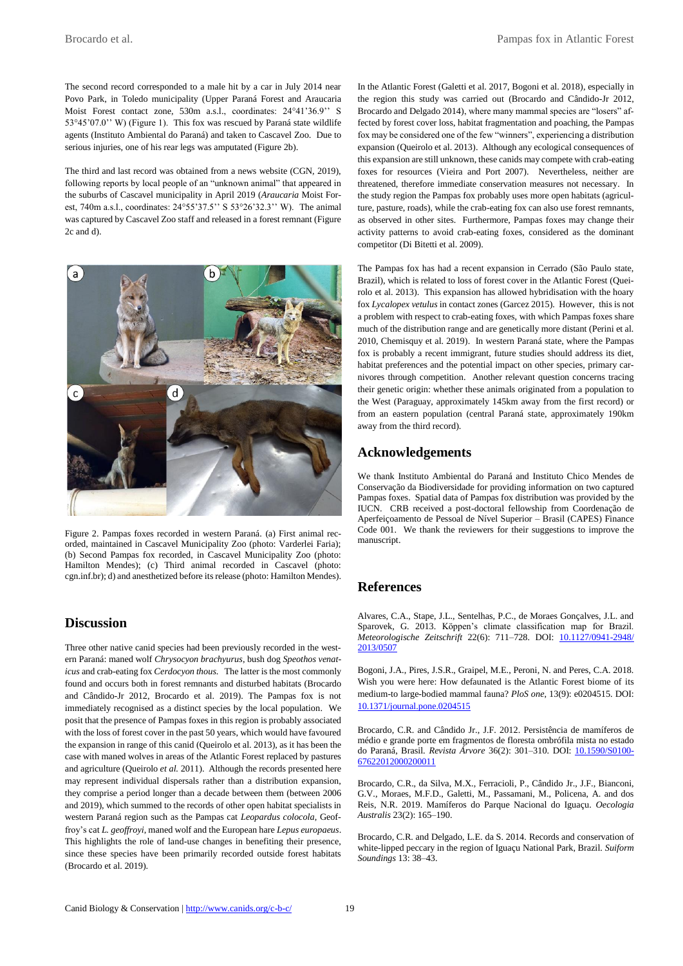The second record corresponded to a male hit by a car in July 2014 near Povo Park, in Toledo municipality (Upper Paraná Forest and Araucaria Moist Forest contact zone, 530m a.s.l., coordinates: 24°41'36.9'' S 53°45'07.0'' W) (Figure 1). This fox was rescued by Paraná state wildlife agents (Instituto Ambiental do Paraná) and taken to Cascavel Zoo. Due to serious injuries, one of his rear legs was amputated (Figure 2b).

The third and last record was obtained from a news website (CGN, 2019), following reports by local people of an "unknown animal" that appeared in the suburbs of Cascavel municipality in April 2019 (*Araucaria* Moist Forest, 740m a.s.l., coordinates: 24°55'37.5'' S 53°26'32.3'' W). The animal was captured by Cascavel Zoo staff and released in a forest remnant (Figure 2c and d).



Figure 2. Pampas foxes recorded in western Paraná. (a) First animal recorded, maintained in Cascavel Municipality Zoo (photo: Varderlei Faria); (b) Second Pampas fox recorded, in Cascavel Municipality Zoo (photo: Hamilton Mendes); (c) Third animal recorded in Cascavel (photo: cgn.inf.br); d) and anesthetized before its release (photo: Hamilton Mendes).

#### **Discussion**

Three other native canid species had been previously recorded in the western Paraná: maned wolf *Chrysocyon brachyurus*, bush dog *Speothos venaticus* and crab-eating fox *Cerdocyon thous*. The latter is the most commonly found and occurs both in forest remnants and disturbed habitats (Brocardo and Cândido-Jr 2012, Brocardo et al. 2019). The Pampas fox is not immediately recognised as a distinct species by the local population. We posit that the presence of Pampas foxes in this region is probably associated with the loss of forest cover in the past 50 years, which would have favoured the expansion in range of this canid (Queirolo et al. 2013), as it has been the case with maned wolves in areas of the Atlantic Forest replaced by pastures and agriculture (Queirolo *et al.* 2011). Although the records presented here may represent individual dispersals rather than a distribution expansion, they comprise a period longer than a decade between them (between 2006 and 2019), which summed to the records of other open habitat specialists in western Paraná region such as the Pampas cat *Leopardus colocola*, Geoffroy's cat *L. geoffroyi*, maned wolf and the European hare *Lepus europaeus*. This highlights the role of land-use changes in benefiting their presence, since these species have been primarily recorded outside forest habitats (Brocardo et al. 2019).

In the Atlantic Forest (Galetti et al. 2017, Bogoni et al. 2018), especially in the region this study was carried out (Brocardo and Cândido-Jr 2012, Brocardo and Delgado 2014), where many mammal species are "losers" affected by forest cover loss, habitat fragmentation and poaching, the Pampas fox may be considered one of the few "winners", experiencing a distribution expansion (Queirolo et al. 2013). Although any ecological consequences of this expansion are still unknown, these canids may compete with crab-eating foxes for resources (Vieira and Port 2007). Nevertheless, neither are threatened, therefore immediate conservation measures not necessary. In the study region the Pampas fox probably uses more open habitats (agriculture, pasture, roads), while the crab-eating fox can also use forest remnants, as observed in other sites. Furthermore, Pampas foxes may change their activity patterns to avoid crab-eating foxes, considered as the dominant competitor (Di Bitetti et al. 2009).

The Pampas fox has had a recent expansion in Cerrado (São Paulo state, Brazil), which is related to loss of forest cover in the Atlantic Forest (Queirolo et al. 2013). This expansion has allowed hybridisation with the hoary fox *Lycalopex vetulus* in contact zones (Garcez 2015). However, this is not a problem with respect to crab-eating foxes, with which Pampas foxes share much of the distribution range and are genetically more distant (Perini et al. 2010, Chemisquy et al. 2019). In western Paraná state, where the Pampas fox is probably a recent immigrant, future studies should address its diet, habitat preferences and the potential impact on other species, primary carnivores through competition. Another relevant question concerns tracing their genetic origin: whether these animals originated from a population to the West (Paraguay, approximately 145km away from the first record) or from an eastern population (central Paraná state, approximately 190km away from the third record).

#### **Acknowledgements**

We thank Instituto Ambiental do Paraná and Instituto Chico Mendes de Conservação da Biodiversidade for providing information on two captured Pampas foxes. Spatial data of Pampas fox distribution was provided by the IUCN. CRB received a post-doctoral fellowship from Coordenação de Aperfeiçoamento de Pessoal de Nível Superior – Brasil (CAPES) Finance Code 001. We thank the reviewers for their suggestions to improve the manuscript.

### **References**

Alvares, C.A., Stape, J.L., Sentelhas, P.C., de Moraes Gonçalves, J.L. and Sparovek, G. 2013. Köppen's climate classification map for Brazil. *Meteorologische Zeitschrift* 22(6): 711–728. DOI: [10.1127/0941-2948/](https://doi.org/10.1127/0941-2948/2013/0507) [2013/0507](https://doi.org/10.1127/0941-2948/2013/0507)

Bogoni, J.A., Pires, J.S.R., Graipel, M.E., Peroni, N. and Peres, C.A. 2018. Wish you were here: How defaunated is the Atlantic Forest biome of its medium-to large-bodied mammal fauna? *PloS one*, 13(9): e0204515. DOI: [10.1371/journal.pone.0204515](https://doi.org/10.1371/journal.pone.0204515)

Brocardo, C.R. and Cândido Jr., J.F. 2012. Persistência de mamíferos de médio e grande porte em fragmentos de floresta ombrófila mista no estado do Paraná, Brasil. *Revista Árvore* 36(2): 301–310. DOI: [10.1590/S0100-](https://www.scielo.br/scielo.php?pid=S0100-67622012000200011&script=sci_arttext) [67622012000200011](https://www.scielo.br/scielo.php?pid=S0100-67622012000200011&script=sci_arttext)

Brocardo, C.R., da Silva, M.X., Ferracioli, P., Cândido Jr., J.F., Bianconi, G.V., Moraes, M.F.D., Galetti, M., Passamani, M., Policena, A. and dos Reis, N.R. 2019. Mamíferos do Parque Nacional do Iguaçu. *Oecologia Australis* 23(2): 165–190.

Brocardo, C.R. and Delgado, L.E. da S. 2014. Records and conservation of white-lipped peccary in the region of Iguaçu National Park, Brazil. *Suiform Soundings* 13: 38–43.